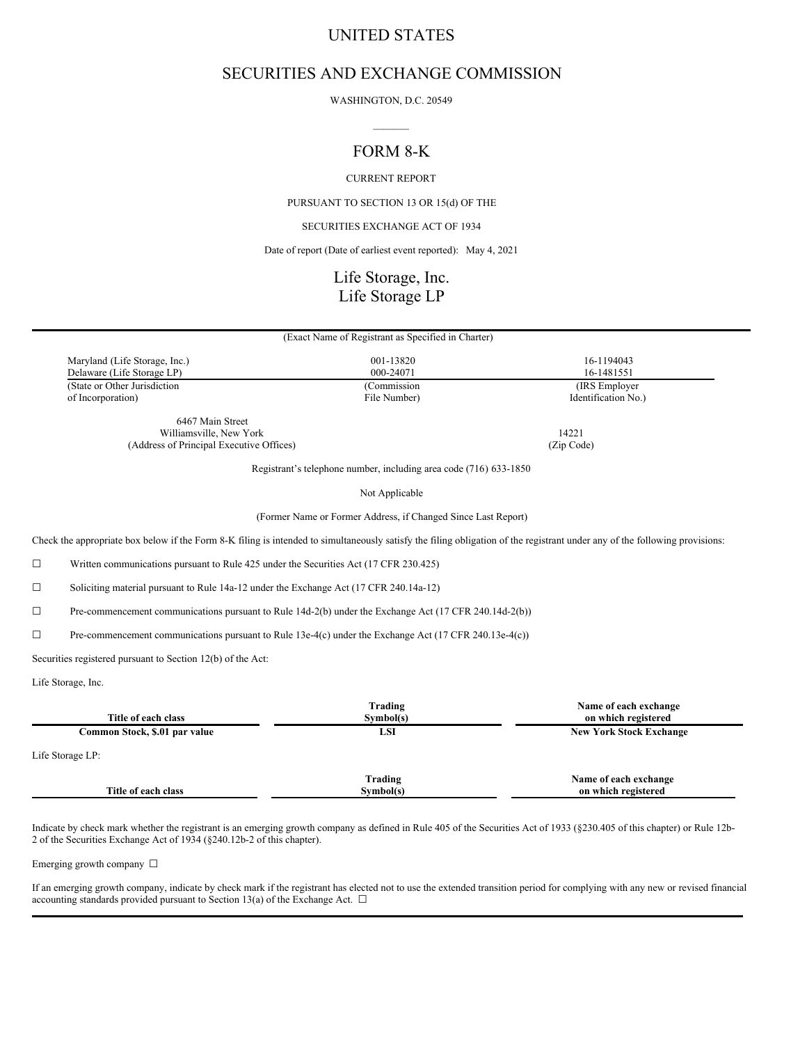## UNITED STATES

## SECURITIES AND EXCHANGE COMMISSION

WASHINGTON, D.C. 20549  $\mathcal{L}=\mathcal{L}$ 

## FORM 8-K

CURRENT REPORT

PURSUANT TO SECTION 13 OR 15(d) OF THE

SECURITIES EXCHANGE ACT OF 1934

Date of report (Date of earliest event reported): May 4, 2021

## Life Storage, Inc. Life Storage LP

| (Exact Name of Registrant as Specified in Charter) |              |                     |  |  |
|----------------------------------------------------|--------------|---------------------|--|--|
| Maryland (Life Storage, Inc.)                      | 001-13820    | 16-1194043          |  |  |
| Delaware (Life Storage LP)                         | 000-24071    | 16-1481551          |  |  |
| (State or Other Jurisdiction                       | (Commission) | (IRS Employer)      |  |  |
| of Incorporation)                                  | File Number) | Identification No.) |  |  |
| 6467 Main Street                                   |              |                     |  |  |
| Williamsville, New York                            |              | 14221               |  |  |

(Address of Principal Executive Offices) (Zip Code)

Registrant's telephone number, including area code (716) 633-1850

Not Applicable

(Former Name or Former Address, if Changed Since Last Report)

Check the appropriate box below if the Form 8-K filing is intended to simultaneously satisfy the filing obligation of the registrant under any of the following provisions:

☐ Written communications pursuant to Rule 425 under the Securities Act (17 CFR 230.425)

☐ Soliciting material pursuant to Rule 14a-12 under the Exchange Act (17 CFR 240.14a-12)

☐ Pre-commencement communications pursuant to Rule 14d-2(b) under the Exchange Act (17 CFR 240.14d-2(b))

☐ Pre-commencement communications pursuant to Rule 13e-4(c) under the Exchange Act (17 CFR 240.13e-4(c))

Securities registered pursuant to Section 12(b) of the Act:

Life Storage, Inc.

| Title of each class           | Trading<br>Symbol(s) | Name of each exchange<br>on which registered |
|-------------------------------|----------------------|----------------------------------------------|
| Common Stock, \$.01 par value | LSI                  | <b>New York Stock Exchange</b>               |
| Life Storage LP:              |                      |                                              |
| Title of each class           | Trading<br>Symbol(s) | Name of each exchange<br>on which registered |

Indicate by check mark whether the registrant is an emerging growth company as defined in Rule 405 of the Securities Act of 1933 (§230.405 of this chapter) or Rule 12b-2 of the Securities Exchange Act of 1934 (§240.12b-2 of this chapter).

Emerging growth company ☐

If an emerging growth company, indicate by check mark if the registrant has elected not to use the extended transition period for complying with any new or revised financial accounting standards provided pursuant to Section 13(a) of the Exchange Act.  $\Box$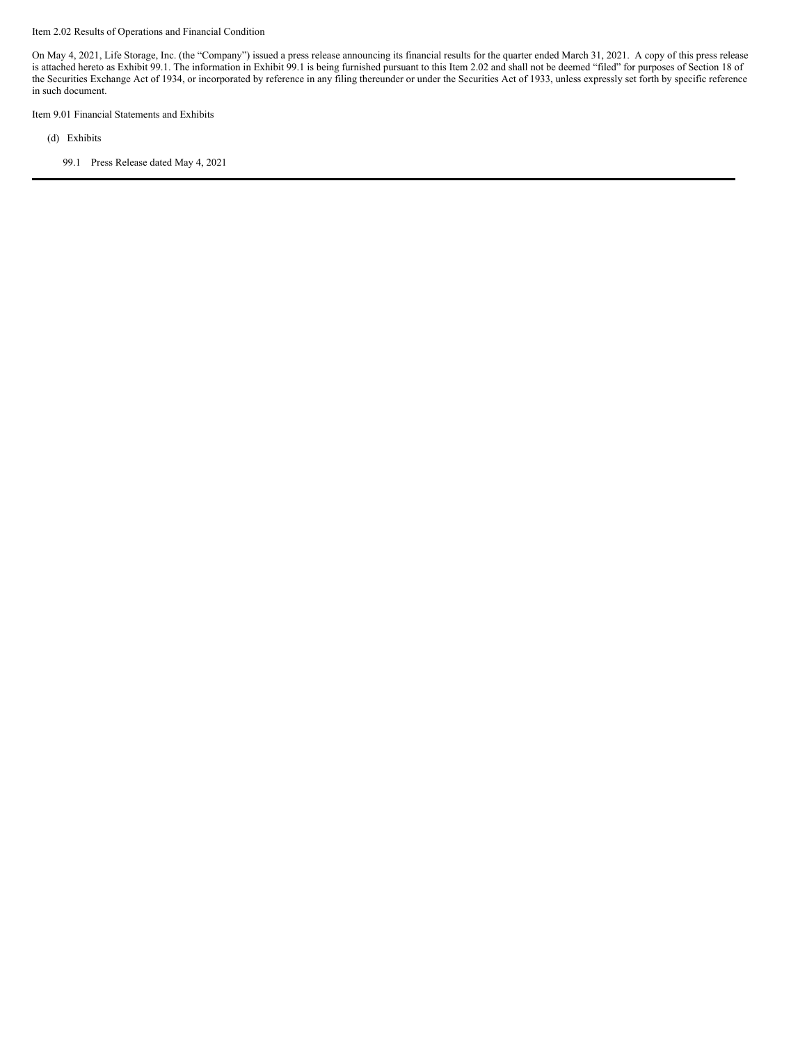#### Item 2.02 Results of Operations and Financial Condition

On May 4, 2021, Life Storage, Inc. (the "Company") issued a press release announcing its financial results for the quarter ended March 31, 2021. A copy of this press release is attached hereto as Exhibit 99.1. The information in Exhibit 99.1 is being furnished pursuant to this Item 2.02 and shall not be deemed "filed" for purposes of Section 18 of the Securities Exchange Act of 1934, or incorporated by reference in any filing thereunder or under the Securities Act of 1933, unless expressly set forth by specific reference in such document.

Item 9.01 Financial Statements and Exhibits

(d) Exhibits

99.1 Press Release dated May 4, 2021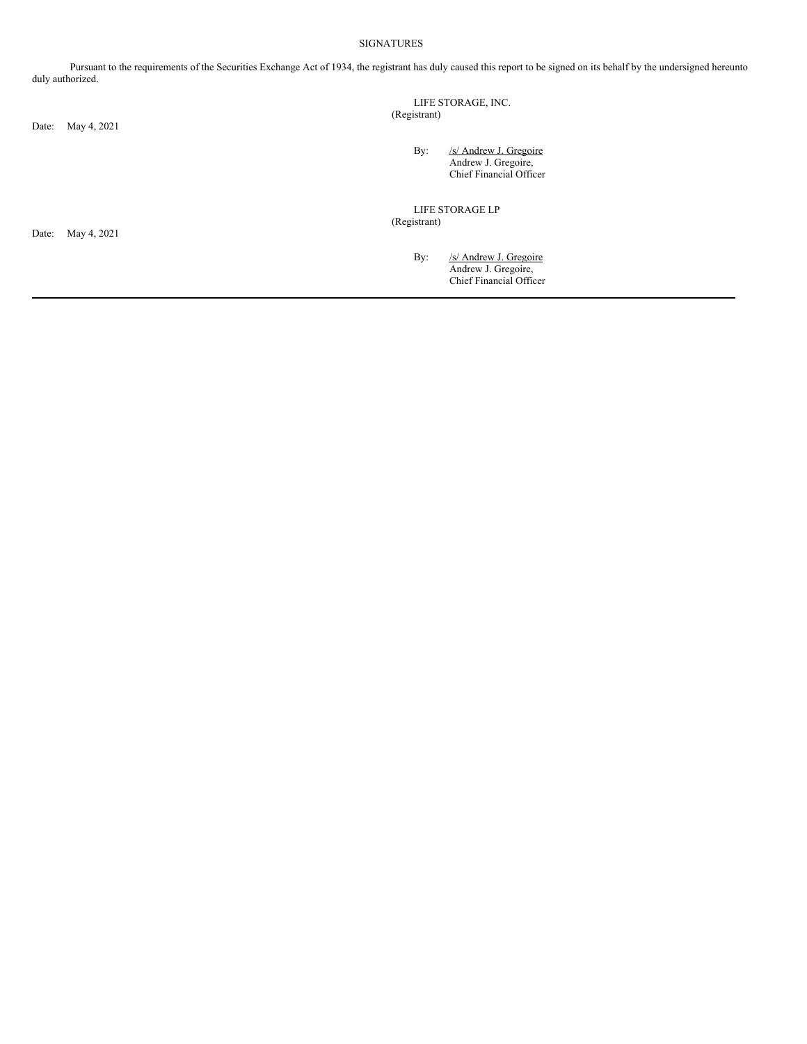### SIGNATURES

Pursuant to the requirements of the Securities Exchange Act of 1934, the registrant has duly caused this report to be signed on its behalf by the undersigned hereunto duly authorized.

Date: May 4, 2021

LIFE STORAGE, INC. (Registrant)

> By: /s/ Andrew J. Gregoire Andrew J. Gregoire, Chief Financial Officer

LIFE STORAGE LP (Registrant)

> By: /s/ Andrew J. Gregoire Andrew J. Gregoire, Chief Financial Officer

Date: May 4, 2021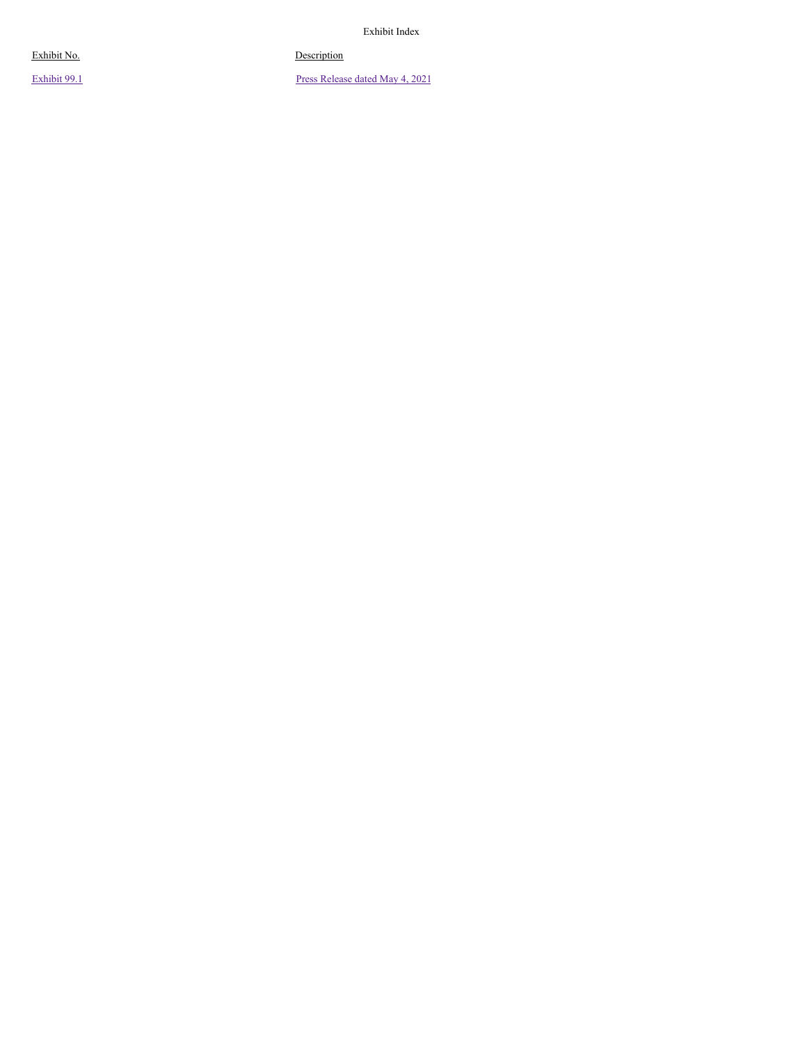Exhibit Index

#### $\underline{\text{De}}$ escription

Exhibit No Exhibit 9[9.1](#page-9-0)

Press Release dated [M](#page-9-0)ay 4, 2021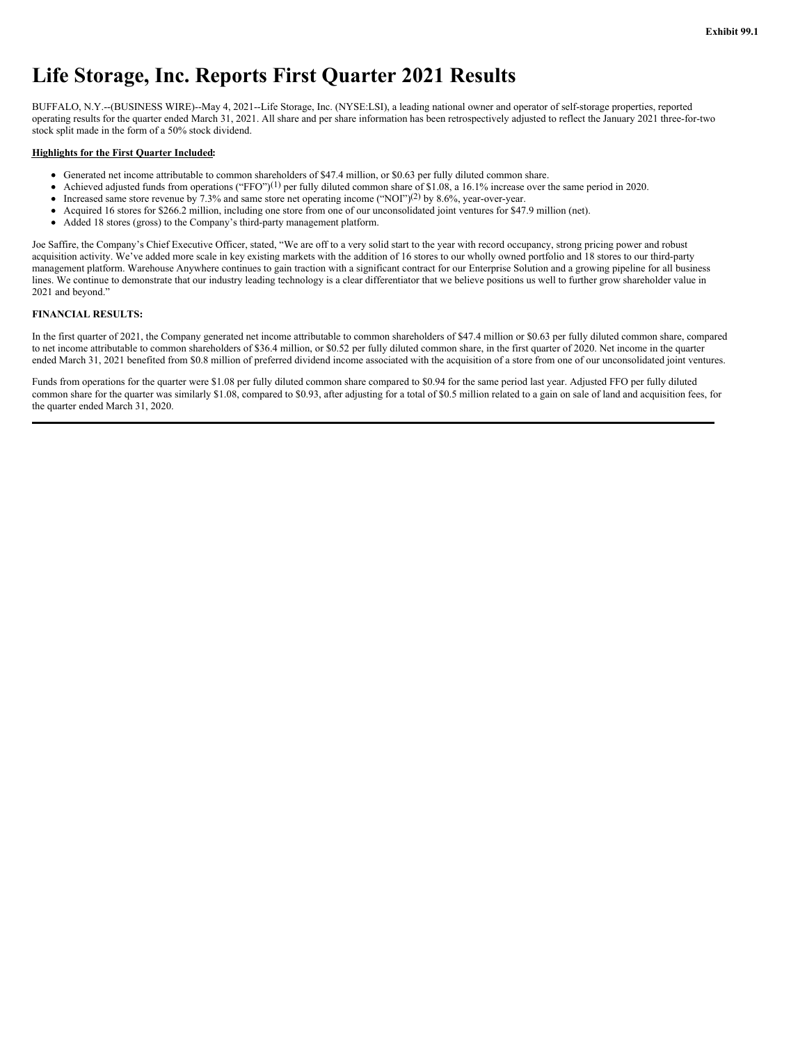# **Life Storage, Inc. Reports First Quarter 2021 Results**

BUFFALO, N.Y.--(BUSINESS WIRE)--May 4, 2021--Life Storage, Inc. (NYSE:LSI), a leading national owner and operator of self-storage properties, reported operating results for the quarter ended March 31, 2021. All share and per share information has been retrospectively adjusted to reflect the January 2021 three-for-two stock split made in the form of a 50% stock dividend.

#### **Highlights for the First Quarter Included:**

- Generated net income attributable to common shareholders of \$47.4 million, or \$0.63 per fully diluted common share.
- $\bullet$ Achieved adjusted funds from operations ("FFO")<sup>(1)</sup> per fully diluted common share of \$1.08, a 16.1% increase over the same period in 2020.
- $\bullet$ Increased same store revenue by 7.3% and same store net operating income ("NOI")<sup>(2)</sup> by 8.6%, year-over-year.
- Acquired 16 stores for \$266.2 million, including one store from one of our unconsolidated joint ventures for \$47.9 million (net).  $\bullet$
- Added 18 stores (gross) to the Company's third-party management platform.

Joe Saffire, the Company's Chief Executive Officer, stated, "We are off to a very solid start to the year with record occupancy, strong pricing power and robust acquisition activity. We've added more scale in key existing markets with the addition of 16 stores to our wholly owned portfolio and 18 stores to our third-party management platform. Warehouse Anywhere continues to gain traction with a significant contract for our Enterprise Solution and a growing pipeline for all business lines. We continue to demonstrate that our industry leading technology is a clear differentiator that we believe positions us well to further grow shareholder value in 2021 and beyond."

#### **FINANCIAL RESULTS:**

In the first quarter of 2021, the Company generated net income attributable to common shareholders of \$47.4 million or \$0.63 per fully diluted common share, compared to net income attributable to common shareholders of \$36.4 million, or \$0.52 per fully diluted common share, in the first quarter of 2020. Net income in the quarter ended March 31, 2021 benefited from \$0.8 million of preferred dividend income associated with the acquisition of a store from one of our unconsolidated joint ventures.

Funds from operations for the quarter were \$1.08 per fully diluted common share compared to \$0.94 for the same period last year. Adjusted FFO per fully diluted common share for the quarter was similarly \$1.08, compared to \$0.93, after adjusting for a total of \$0.5 million related to a gain on sale of land and acquisition fees, for the quarter ended March 31, 2020.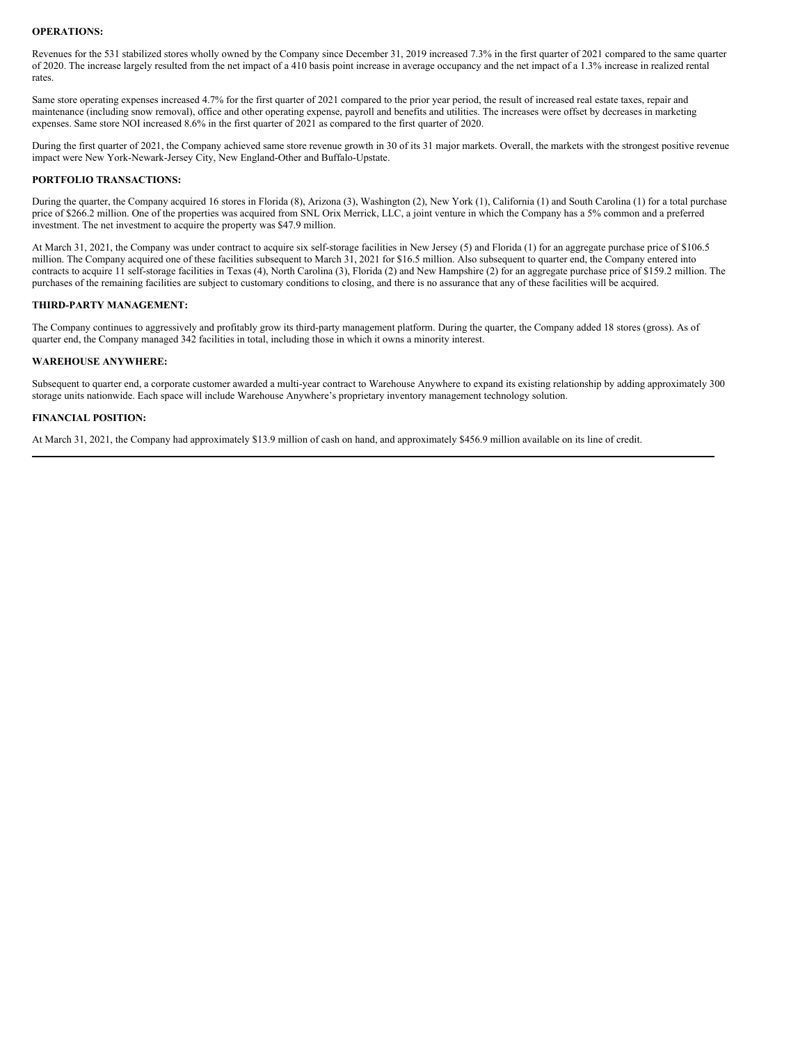#### **OPERATIONS:**

Revenues for the 531 stabilized stores wholly owned by the Company since December 31, 2019 increased 7.3% in the first quarter of 2021 compared to the same quarter of 2020. The increase largely resulted from the net impact of a 410 basis point increase in average occupancy and the net impact of a 1.3% increase in realized rental rates.

Same store operating expenses increased 4.7% for the first quarter of 2021 compared to the prior year period, the result of increased real estate taxes, repair and maintenance (including snow removal), office and other operating expense, payroll and benefits and utilities. The increases were offset by decreases in marketing expenses. Same store NOI increased 8.6% in the first quarter of 2021 as compared to the first quarter of 2020.

During the first quarter of 2021, the Company achieved same store revenue growth in 30 of its 31 major markets. Overall, the markets with the strongest positive revenue impact were New York-Newark-Jersey City, New England-Other and Buffalo-Upstate.

#### **PORTFOLIO TRANSACTIONS:**

During the quarter, the Company acquired 16 stores in Florida (8), Arizona (3), Washington (2), New York (1), California (1) and South Carolina (1) for a total purchase price of \$266.2 million. One of the properties was acquired from SNL Orix Merrick, LLC, a joint venture in which the Company has a 5% common and a preferred investment. The net investment to acquire the property was \$47.9 million.

At March 31, 2021, the Company was under contract to acquire six self-storage facilities in New Jersey (5) and Florida (1) for an aggregate purchase price of \$106.5 million. The Company acquired one of these facilities subsequent to March 31, 2021 for \$16.5 million. Also subsequent to quarter end, the Company entered into contracts to acquire 11 self-storage facilities in Texas (4), North Carolina (3), Florida (2) and New Hampshire (2) for an aggregate purchase price of \$159.2 million. The purchases of the remaining facilities are subject to customary conditions to closing, and there is no assurance that any of these facilities will be acquired.

#### **THIRD-PARTY MANAGEMENT:**

The Company continues to aggressively and profitably grow its third-party management platform. During the quarter, the Company added 18 stores (gross). As of quarter end, the Company managed 342 facilities in total, including those in which it owns a minority interest.

#### **WAREHOUSE ANYWHERE:**

Subsequent to quarter end, a corporate customer awarded a multi-year contract to Warehouse Anywhere to expand its existing relationship by adding approximately 300 storage units nationwide. Each space will include Warehouse Anywhere's proprietary inventory management technology solution.

#### **FINANCIAL POSITION:**

At March 31, 2021, the Company had approximately \$13.9 million of cash on hand, and approximately \$456.9 million available on its line of credit.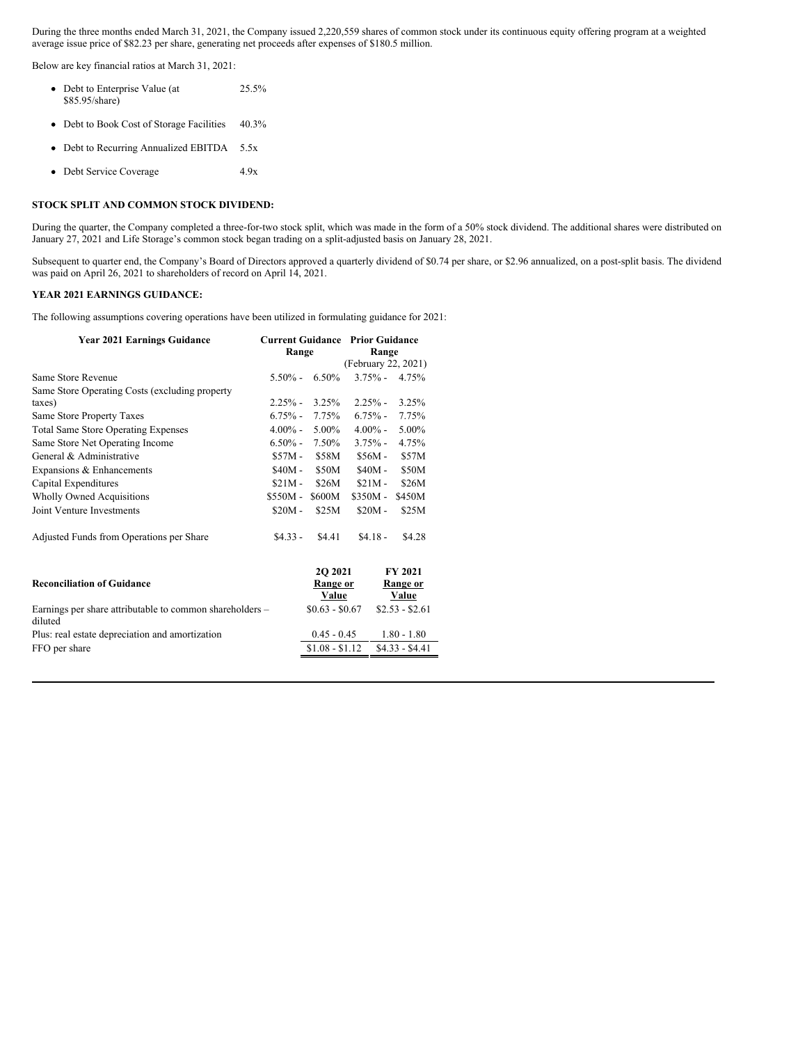During the three months ended March 31, 2021, the Company issued 2,220,559 shares of common stock under its continuous equity offering program at a weighted average issue price of \$82.23 per share, generating net proceeds after expenses of \$180.5 million.

Below are key financial ratios at March 31, 2021:

| • Debt to Enterprise Value (at<br>\$85.95/share) | 25.5% |
|--------------------------------------------------|-------|
| • Debt to Book Cost of Storage Facilities        | 40.3% |
| • Debt to Recurring Annualized EBITDA $5.5x$     |       |

• Debt Service Coverage 4.9x

#### **STOCK SPLIT AND COMMON STOCK DIVIDEND:**

During the quarter, the Company completed a three-for-two stock split, which was made in the form of a 50% stock dividend. The additional shares were distributed on January 27, 2021 and Life Storage's common stock began trading on a split-adjusted basis on January 28, 2021.

Subsequent to quarter end, the Company's Board of Directors approved a quarterly dividend of \$0.74 per share, or \$2.96 annualized, on a post-split basis. The dividend was paid on April 26, 2021 to shareholders of record on April 14, 2021.

#### **YEAR 2021 EARNINGS GUIDANCE:**

The following assumptions covering operations have been utilized in formulating guidance for 2021:

| Year 2021 Earnings Guidance                                         |                                   |                 | <b>Current Guidance Prior Guidance</b> |                          |  |
|---------------------------------------------------------------------|-----------------------------------|-----------------|----------------------------------------|--------------------------|--|
|                                                                     | Range                             |                 |                                        | Range                    |  |
|                                                                     |                                   |                 |                                        | (February 22, 2021)      |  |
| Same Store Revenue                                                  | $5.50\%$ -                        | $6.50\%$        |                                        | $3.75\% - 4.75\%$        |  |
| Same Store Operating Costs (excluding property                      |                                   |                 |                                        |                          |  |
| taxes)                                                              | $2.25\%$ -                        | $3.25\%$        | $2.25\%$ -                             | 3.25%                    |  |
| Same Store Property Taxes                                           | $6.75\%$ -                        | 7.75%           | $6.75\%$ -                             | 7.75%                    |  |
| <b>Total Same Store Operating Expenses</b>                          | $4.00\%$ -                        | 5.00%           | $4.00\%$ -                             | 5.00%                    |  |
| Same Store Net Operating Income                                     | $6.50\%$ -                        | 7.50%           | $3.75\%$ -                             | 4.75%                    |  |
| General & Administrative                                            | $$57M -$                          | \$58M           | $$56M -$                               | \$57M                    |  |
| Expansions & Enhancements                                           | $$40M -$                          | \$50M           | $$40M -$                               | \$50M                    |  |
| Capital Expenditures                                                | $$21M -$                          | \$26M           | $$21M -$                               | \$26M                    |  |
| <b>Wholly Owned Acquisitions</b>                                    | \$550M -                          | \$600M          | $$350M -$                              | \$450M                   |  |
| <b>Joint Venture Investments</b>                                    | $$20M -$                          | \$25M           | $$20M -$                               | \$25M                    |  |
| Adjusted Funds from Operations per Share                            | $$4.33 -$                         | \$4.41          | $$4.18 -$                              | \$4.28                   |  |
|                                                                     |                                   | <b>2O 2021</b>  |                                        | <b>FY 2021</b>           |  |
|                                                                     | <b>Reconciliation of Guidance</b> |                 | Range or<br><b>Value</b>               | Range or<br><b>Value</b> |  |
| Earnings per share attributable to common shareholders -<br>diluted |                                   | $$0.63 - $0.67$ |                                        | $$2.53 - $2.61$          |  |
| Plus: real estate depreciation and amortization                     |                                   | $0.45 - 0.45$   |                                        | $1.80 - 1.80$            |  |
| FFO per share                                                       |                                   | \$1.08 - \$1.12 |                                        | $$4.33 - $4.41$          |  |
|                                                                     |                                   |                 |                                        |                          |  |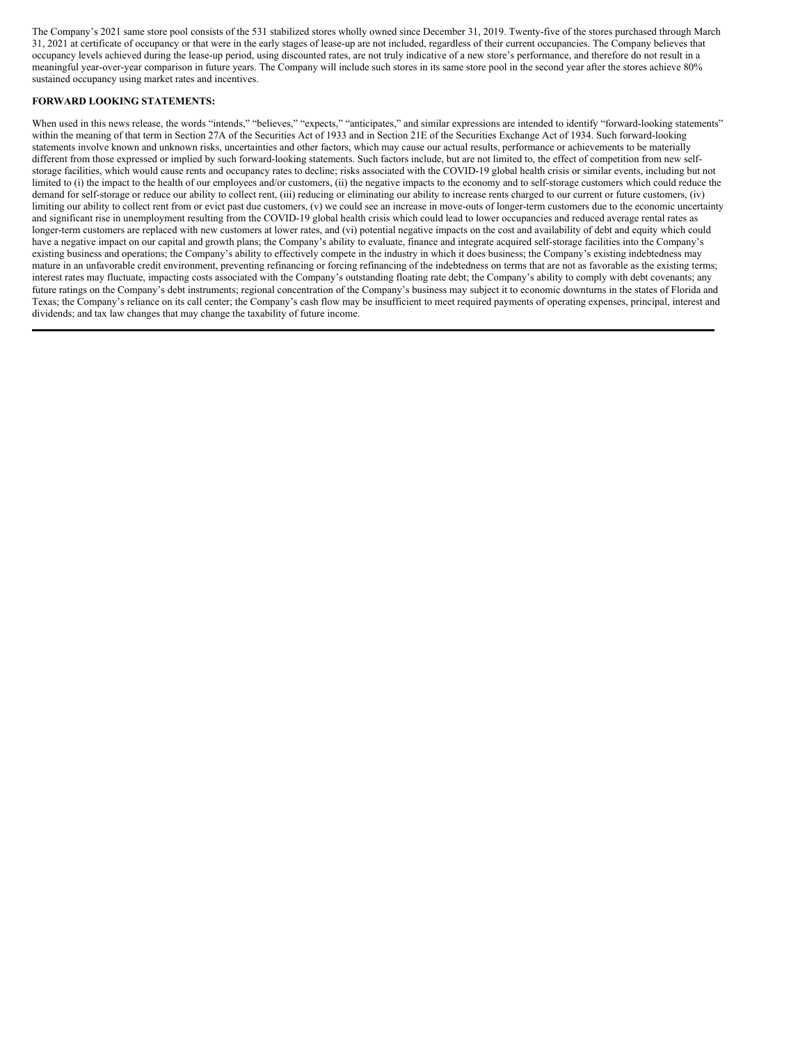The Company's 2021 same store pool consists of the 531 stabilized stores wholly owned since December 31, 2019. Twenty-five of the stores purchased through March 31, 2021 at certificate of occupancy or that were in the early stages of lease-up are not included, regardless of their current occupancies. The Company believes that occupancy levels achieved during the lease-up period, using discounted rates, are not truly indicative of a new store's performance, and therefore do not result in a meaningful year-over-year comparison in future years. The Company will include such stores in its same store pool in the second year after the stores achieve 80% sustained occupancy using market rates and incentives.

#### **FORWARD LOOKING STATEMENTS:**

When used in this news release, the words "intends," "believes," "expects," "anticipates," and similar expressions are intended to identify "forward-looking statements" within the meaning of that term in Section 27A of the Securities Act of 1933 and in Section 21E of the Securities Exchange Act of 1934. Such forward-looking statements involve known and unknown risks, uncertainties and other factors, which may cause our actual results, performance or achievements to be materially different from those expressed or implied by such forward-looking statements. Such factors include, but are not limited to, the effect of competition from new selfstorage facilities, which would cause rents and occupancy rates to decline; risks associated with the COVID-19 global health crisis or similar events, including but not limited to (i) the impact to the health of our employees and/or customers, (ii) the negative impacts to the economy and to self-storage customers which could reduce the demand for self-storage or reduce our ability to collect rent, (iii) reducing or eliminating our ability to increase rents charged to our current or future customers, (iv) limiting our ability to collect rent from or evict past due customers, (v) we could see an increase in move-outs of longer-term customers due to the economic uncertainty and significant rise in unemployment resulting from the COVID-19 global health crisis which could lead to lower occupancies and reduced average rental rates as longer-term customers are replaced with new customers at lower rates, and (vi) potential negative impacts on the cost and availability of debt and equity which could have a negative impact on our capital and growth plans; the Company's ability to evaluate, finance and integrate acquired self-storage facilities into the Company's existing business and operations; the Company's ability to effectively compete in the industry in which it does business; the Company's existing indebtedness may mature in an unfavorable credit environment, preventing refinancing or forcing refinancing of the indebtedness on terms that are not as favorable as the existing terms; interest rates may fluctuate, impacting costs associated with the Company's outstanding floating rate debt; the Company's ability to comply with debt covenants; any future ratings on the Company's debt instruments; regional concentration of the Company's business may subject it to economic downturns in the states of Florida and Texas; the Company's reliance on its call center; the Company's cash flow may be insufficient to meet required payments of operating expenses, principal, interest and dividends; and tax law changes that may change the taxability of future income.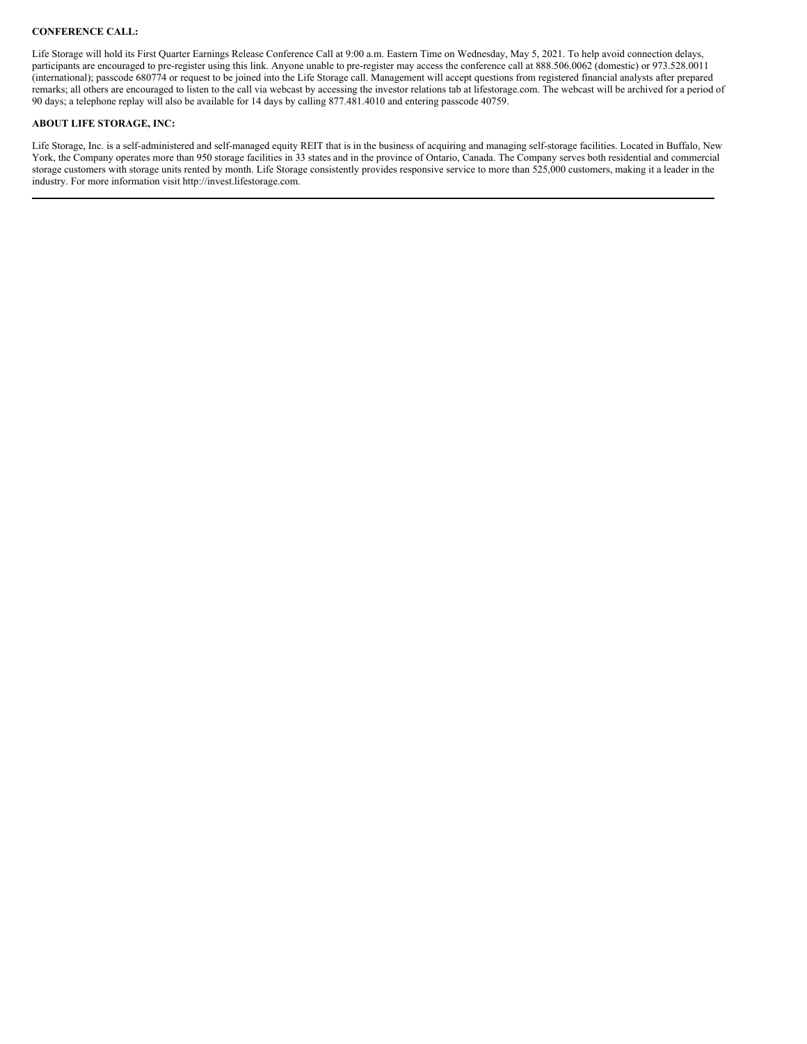#### **CONFERENCE CALL:**

Life Storage will hold its First Quarter Earnings Release Conference Call at 9:00 a.m. Eastern Time on Wednesday, May 5, 2021. To help avoid connection delays, participants are encouraged to pre-register using this link. Anyone unable to pre-register may access the conference call at 888.506.0062 (domestic) or 973.528.0011 (international); passcode 680774 or request to be joined into the Life Storage call. Management will accept questions from registered financial analysts after prepared remarks; all others are encouraged to listen to the call via webcast by accessing the investor relations tab at lifestorage.com. The webcast will be archived for a period of 90 days; a telephone replay will also be available for 14 days by calling 877.481.4010 and entering passcode 40759.

#### **ABOUT LIFE STORAGE, INC:**

Life Storage, Inc. is a self-administered and self-managed equity REIT that is in the business of acquiring and managing self-storage facilities. Located in Buffalo, New York, the Company operates more than 950 storage facilities in 33 states and in the province of Ontario, Canada. The Company serves both residential and commercial storage customers with storage units rented by month. Life Storage consistently provides responsive service to more than 525,000 customers, making it a leader in the industry. For more information visit http://invest.lifestorage.com.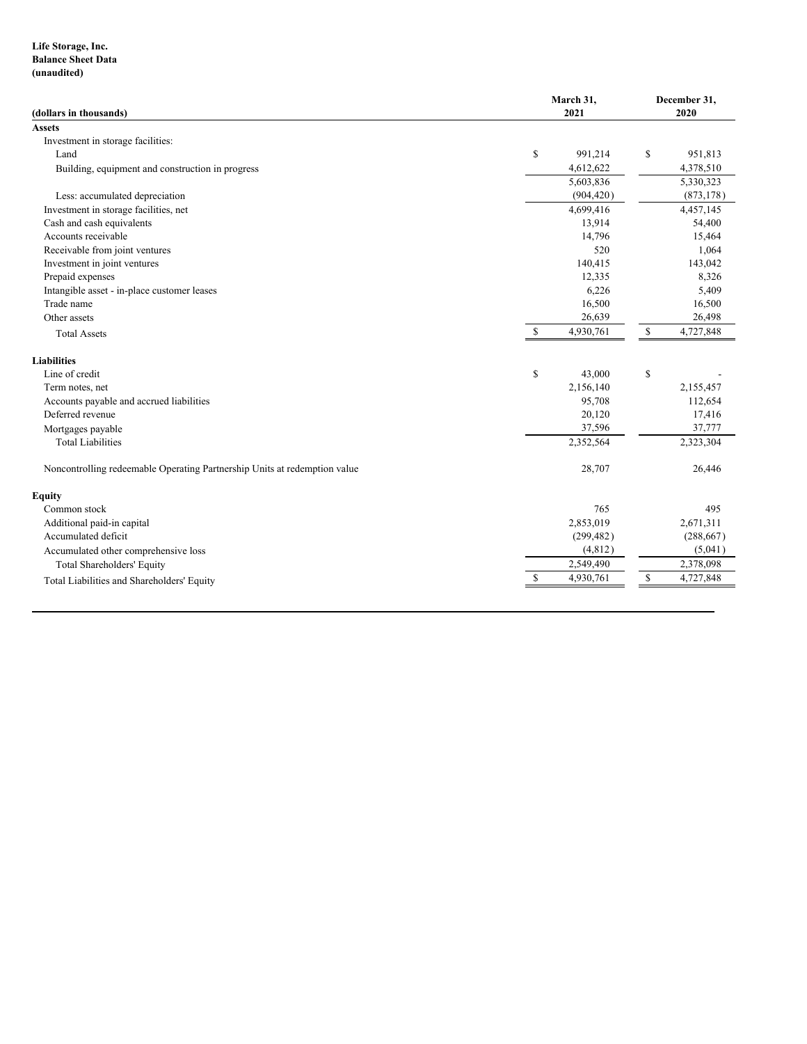#### <span id="page-9-0"></span>**Life Storage, Inc. Balance Sheet Data (unaudited)**

| (dollars in thousands)                                                    |              | March 31,<br>2021 |    | December 31,<br>2020 |  |
|---------------------------------------------------------------------------|--------------|-------------------|----|----------------------|--|
| Assets                                                                    |              |                   |    |                      |  |
| Investment in storage facilities:                                         |              |                   |    |                      |  |
| Land                                                                      | $\mathbb{S}$ | 991,214           | \$ | 951,813              |  |
| Building, equipment and construction in progress                          |              | 4,612,622         |    | 4,378,510            |  |
|                                                                           |              | 5,603,836         |    | 5,330,323            |  |
| Less: accumulated depreciation                                            |              | (904, 420)        |    | (873, 178)           |  |
| Investment in storage facilities, net                                     |              | 4,699,416         |    | 4,457,145            |  |
| Cash and cash equivalents                                                 |              | 13,914            |    | 54,400               |  |
| Accounts receivable                                                       |              | 14,796            |    | 15,464               |  |
| Receivable from joint ventures                                            |              | 520               |    | 1,064                |  |
| Investment in joint ventures                                              |              | 140,415           |    | 143,042              |  |
| Prepaid expenses                                                          |              | 12,335            |    | 8,326                |  |
| Intangible asset - in-place customer leases                               |              | 6,226             |    | 5,409                |  |
| Trade name                                                                |              | 16,500            |    | 16,500               |  |
| Other assets                                                              |              | 26,639            |    | 26,498               |  |
| <b>Total Assets</b>                                                       | $\mathbb{S}$ | 4,930,761         | \$ | 4,727,848            |  |
| <b>Liabilities</b>                                                        |              |                   |    |                      |  |
| Line of credit                                                            | S            | 43,000            | \$ |                      |  |
| Term notes, net                                                           |              | 2,156,140         |    | 2,155,457            |  |
| Accounts payable and accrued liabilities                                  |              | 95,708            |    | 112,654              |  |
| Deferred revenue                                                          |              | 20,120            |    | 17,416               |  |
| Mortgages payable                                                         |              | 37,596            |    | 37,777               |  |
| <b>Total Liabilities</b>                                                  |              | 2,352,564         |    | 2,323,304            |  |
| Noncontrolling redeemable Operating Partnership Units at redemption value |              | 28,707            |    | 26,446               |  |
| Equity                                                                    |              |                   |    |                      |  |
| Common stock                                                              |              | 765               |    | 495                  |  |
| Additional paid-in capital                                                |              | 2,853,019         |    | 2,671,311            |  |
| Accumulated deficit                                                       |              | (299, 482)        |    | (288, 667)           |  |
| Accumulated other comprehensive loss                                      |              | (4, 812)          |    | (5,041)              |  |
| <b>Total Shareholders' Equity</b>                                         |              | 2,549,490         |    | 2,378,098            |  |
| Total Liabilities and Shareholders' Equity                                | S            | 4,930,761         | \$ | 4,727,848            |  |
|                                                                           |              |                   |    |                      |  |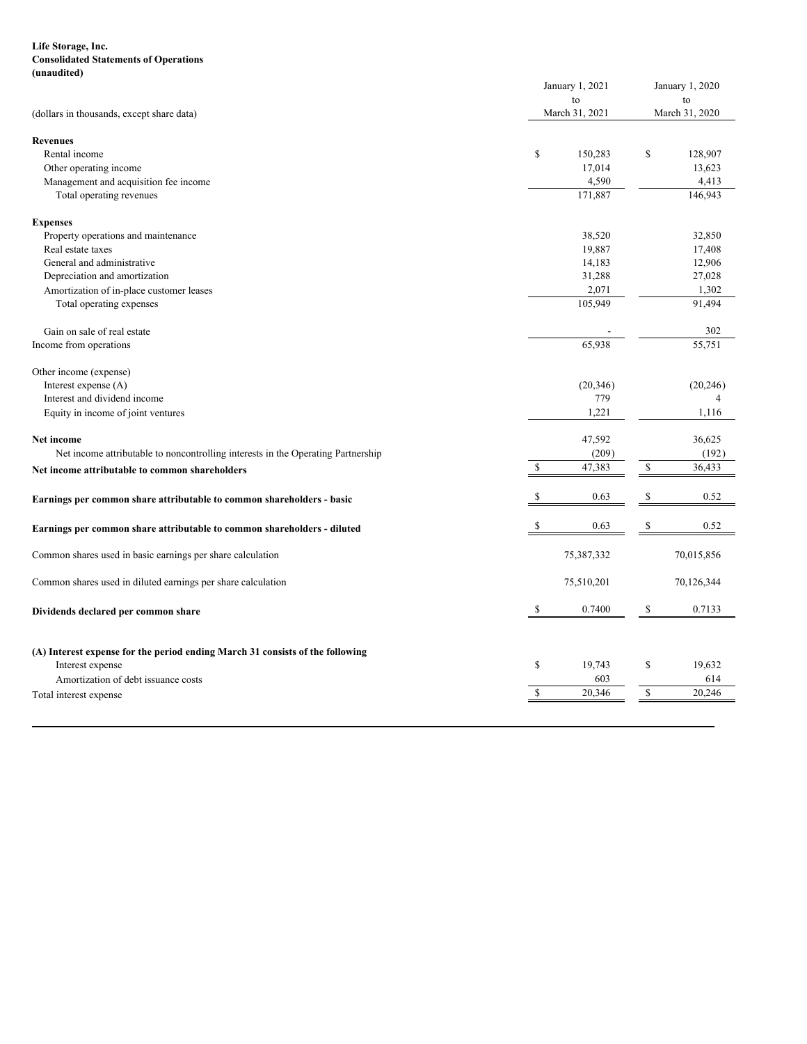#### **Life Storage, Inc. Consolidated Statements of Operations (unaudited)**

|                                                                                  |               | January 1, 2021 |                | January 1, 2020 |  |
|----------------------------------------------------------------------------------|---------------|-----------------|----------------|-----------------|--|
|                                                                                  |               | to              |                | to              |  |
| (dollars in thousands, except share data)                                        |               | March 31, 2021  | March 31, 2020 |                 |  |
| <b>Revenues</b>                                                                  |               |                 |                |                 |  |
| Rental income                                                                    | \$            | 150,283         | \$             | 128,907         |  |
| Other operating income                                                           |               | 17,014          |                | 13,623          |  |
| Management and acquisition fee income                                            |               | 4,590           |                | 4,413           |  |
| Total operating revenues                                                         |               | 171,887         |                | 146,943         |  |
| <b>Expenses</b>                                                                  |               |                 |                |                 |  |
| Property operations and maintenance                                              |               | 38,520          |                | 32,850          |  |
| Real estate taxes                                                                |               | 19,887          |                | 17,408          |  |
| General and administrative                                                       |               | 14,183          |                | 12,906          |  |
| Depreciation and amortization                                                    |               | 31,288          |                | 27,028          |  |
| Amortization of in-place customer leases                                         |               | 2,071           |                | 1,302           |  |
| Total operating expenses                                                         |               | 105,949         |                | 91,494          |  |
|                                                                                  |               |                 |                |                 |  |
| Gain on sale of real estate                                                      |               |                 |                | 302             |  |
| Income from operations                                                           |               | 65,938          |                | 55,751          |  |
| Other income (expense)                                                           |               |                 |                |                 |  |
| Interest expense (A)                                                             |               | (20, 346)       |                | (20, 246)       |  |
| Interest and dividend income                                                     |               | 779             |                | 4               |  |
| Equity in income of joint ventures                                               |               | 1,221           |                | 1,116           |  |
| <b>Net income</b>                                                                |               | 47,592          |                | 36,625          |  |
| Net income attributable to noncontrolling interests in the Operating Partnership |               | (209)           |                | (192)           |  |
| Net income attributable to common shareholders                                   | \$            | 47,383          | \$             | 36,433          |  |
| Earnings per common share attributable to common shareholders - basic            | \$            | 0.63            | \$             | 0.52            |  |
|                                                                                  |               |                 |                |                 |  |
| Earnings per common share attributable to common shareholders - diluted          | <sup>\$</sup> | 0.63            | \$             | 0.52            |  |
| Common shares used in basic earnings per share calculation                       |               | 75,387,332      |                | 70,015,856      |  |
| Common shares used in diluted earnings per share calculation                     |               | 75,510,201      |                | 70,126,344      |  |
| Dividends declared per common share                                              | \$            | 0.7400          | \$             | 0.7133          |  |
|                                                                                  |               |                 |                |                 |  |
| (A) Interest expense for the period ending March 31 consists of the following    |               |                 |                |                 |  |
| Interest expense                                                                 | \$            | 19,743          | \$             | 19,632          |  |
| Amortization of debt issuance costs                                              |               | 603             |                | 614             |  |
| Total interest expense                                                           | \$            | 20,346          | \$             | 20,246          |  |
|                                                                                  |               |                 |                |                 |  |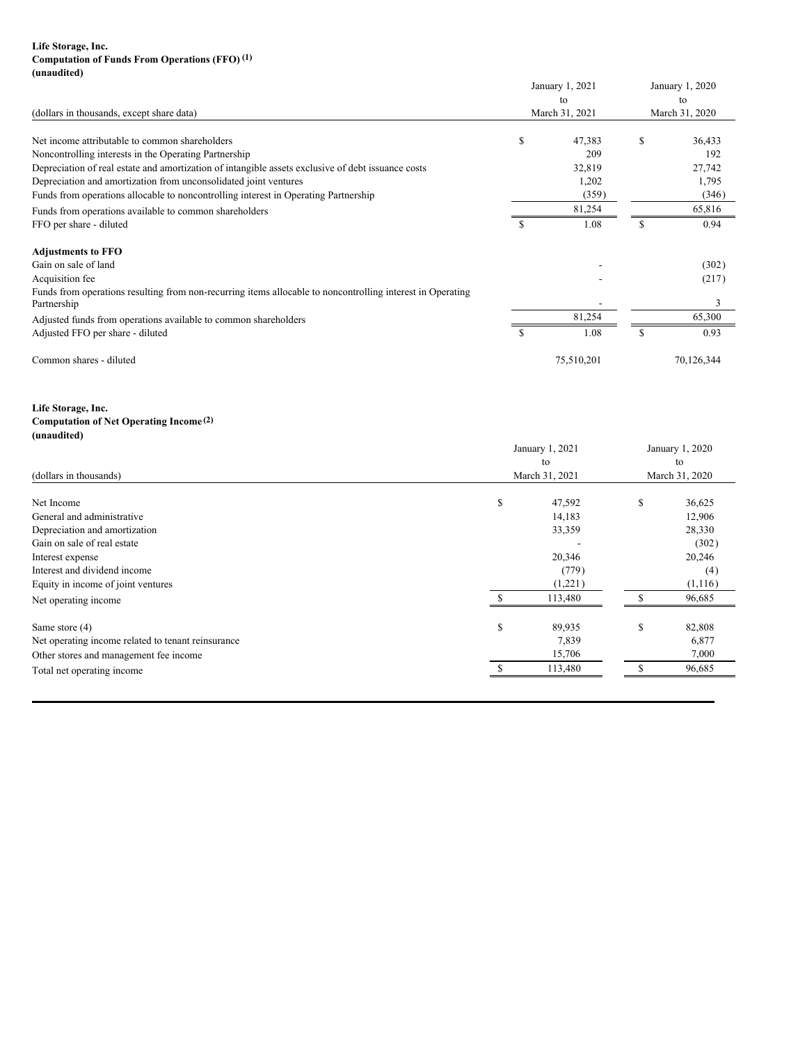#### **Life Storage, Inc. Computation of Funds From Operations (FFO) (1) (unaudited)**

|                                                                                                                           |    | January 1, 2021 |     | January 1, 2020 |  |
|---------------------------------------------------------------------------------------------------------------------------|----|-----------------|-----|-----------------|--|
|                                                                                                                           | to |                 | to  |                 |  |
| (dollars in thousands, except share data)                                                                                 |    | March 31, 2021  |     | March 31, 2020  |  |
| Net income attributable to common shareholders                                                                            | \$ | 47,383          | \$  | 36,433          |  |
| Noncontrolling interests in the Operating Partnership                                                                     |    | 209             |     | 192             |  |
| Depreciation of real estate and amortization of intangible assets exclusive of debt issuance costs                        |    | 32,819          |     | 27,742          |  |
| Depreciation and amortization from unconsolidated joint ventures                                                          |    | 1,202           |     | 1,795           |  |
| Funds from operations allocable to noncontrolling interest in Operating Partnership                                       |    | (359)           |     | (346)           |  |
| Funds from operations available to common shareholders                                                                    |    | 81,254          |     | 65,816          |  |
| FFO per share - diluted                                                                                                   | \$ | 1.08            | \$. | 0.94            |  |
| <b>Adjustments to FFO</b>                                                                                                 |    |                 |     |                 |  |
| Gain on sale of land                                                                                                      |    |                 |     | (302)           |  |
| Acquisition fee                                                                                                           |    |                 |     | (217)           |  |
| Funds from operations resulting from non-recurring items allocable to noncontrolling interest in Operating<br>Partnership |    |                 |     | 3               |  |
| Adjusted funds from operations available to common shareholders                                                           |    | 81,254          |     | 65,300          |  |
| Adjusted FFO per share - diluted                                                                                          | \$ | 1.08            | S   | 0.93            |  |
| Common shares - diluted                                                                                                   |    | 75,510,201      |     | 70,126,344      |  |

#### **Life Storage, Inc. Computation of Net Operating Income (2) (unaudited)**

|   | January 1, 2021 |                          |                       |
|---|-----------------|--------------------------|-----------------------|
|   | to              |                          | to                    |
|   |                 |                          | March 31, 2020        |
|   |                 |                          |                       |
|   |                 |                          | 36,625                |
|   | 14,183          |                          | 12,906                |
|   | 33,359          |                          | 28,330                |
|   |                 |                          | (302)                 |
|   | 20,346          |                          | 20,246                |
|   | (779)           |                          | (4)                   |
|   | (1,221)         |                          | (1,116)               |
|   | 113,480         |                          | 96,685                |
| S | 89,935          | \$                       | 82,808                |
|   | 7,839           |                          | 6,877                 |
|   | 15,706          |                          | 7,000                 |
|   | 113,480         |                          | 96,685                |
|   | S               | March 31, 2021<br>47,592 | January 1, 2020<br>\$ |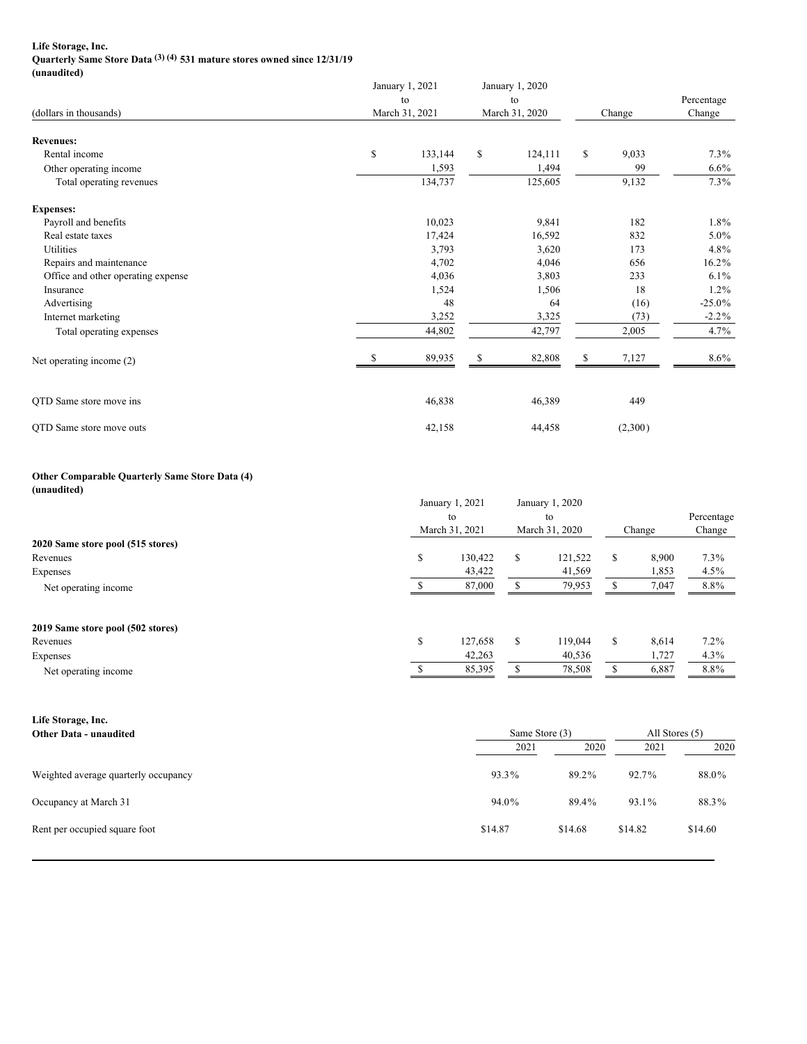#### **Life Storage, Inc. Quarterly Same Store Data (3) (4) 531 mature stores owned since 12/31/19 (unaudited)**

|                                    | January 1, 2021 | January 1, 2020 |             |            |
|------------------------------------|-----------------|-----------------|-------------|------------|
|                                    | to              | to              |             | Percentage |
| (dollars in thousands)             | March 31, 2021  | March 31, 2020  | Change      | Change     |
| <b>Revenues:</b>                   |                 |                 |             |            |
| Rental income                      | \$<br>133,144   | \$<br>124,111   | \$<br>9,033 | $7.3\%$    |
| Other operating income             | 1,593           | 1,494           | 99          | $6.6\%$    |
| Total operating revenues           | 134,737         | 125,605         | 9,132       | $7.3\%$    |
| <b>Expenses:</b>                   |                 |                 |             |            |
| Payroll and benefits               | 10,023          | 9,841           | 182         | $1.8\%$    |
| Real estate taxes                  | 17,424          | 16,592          | 832         | 5.0%       |
| Utilities                          | 3,793           | 3,620           | 173         | 4.8%       |
| Repairs and maintenance            | 4,702           | 4,046           | 656         | $16.2\%$   |
| Office and other operating expense | 4,036           | 3,803           | 233         | $6.1\%$    |
| Insurance                          | 1,524           | 1,506           | 18          | $1.2\%$    |
| Advertising                        | 48              | 64              | (16)        | $-25.0\%$  |
| Internet marketing                 | 3,252           | 3,325           | (73)        | $-2.2\%$   |
| Total operating expenses           | 44,802          | 42,797          | 2,005       | 4.7%       |
| Net operating income (2)           | 89,935<br>\$    | \$<br>82,808    | 7,127<br>S  | $8.6\%$    |
| QTD Same store move ins            | 46,838          | 46,389          | 449         |            |
| QTD Same store move outs           | 42,158          | 44,458          | (2,300)     |            |

#### **Other Comparable Quarterly Same Store Data (4) (unaudited)**

|                                   |   | January 1, 2021<br>to<br>March 31, 2021 |   | January 1, 2020<br>to<br>March 31, 2020 |   | Change | Percentage<br>Change |
|-----------------------------------|---|-----------------------------------------|---|-----------------------------------------|---|--------|----------------------|
| 2020 Same store pool (515 stores) |   |                                         |   |                                         |   |        |                      |
| Revenues                          | S | 130,422                                 | S | 121,522                                 | S | 8,900  | $7.3\%$              |
| Expenses                          |   | 43,422                                  |   | 41,569                                  |   | 1,853  | $4.5\%$              |
| Net operating income              |   | 87,000                                  |   | 79,953                                  |   | 7,047  | $8.8\%$              |
| 2019 Same store pool (502 stores) |   |                                         |   |                                         |   |        |                      |
| Revenues                          | S | 127,658                                 | S | 119,044                                 | S | 8,614  | $7.2\%$              |
| Expenses                          |   | 42,263                                  |   | 40,536                                  |   | 1,727  | $4.3\%$              |
| Net operating income              |   | 85,395                                  |   | 78,508                                  |   | 6,887  | 8.8%                 |

| Life Storage, Inc.                   |                |         |                |         |  |
|--------------------------------------|----------------|---------|----------------|---------|--|
| <b>Other Data - unaudited</b>        | Same Store (3) |         | All Stores (5) |         |  |
|                                      | 2021           | 2020    | 2021           | 2020    |  |
| Weighted average quarterly occupancy | 93.3%          | 89.2%   | 92.7%          | 88.0%   |  |
| Occupancy at March 31                | 94.0%          | 89.4%   | 93.1%          | 88.3%   |  |
| Rent per occupied square foot        | \$14.87        | \$14.68 | \$14.82        | \$14.60 |  |
|                                      |                |         |                |         |  |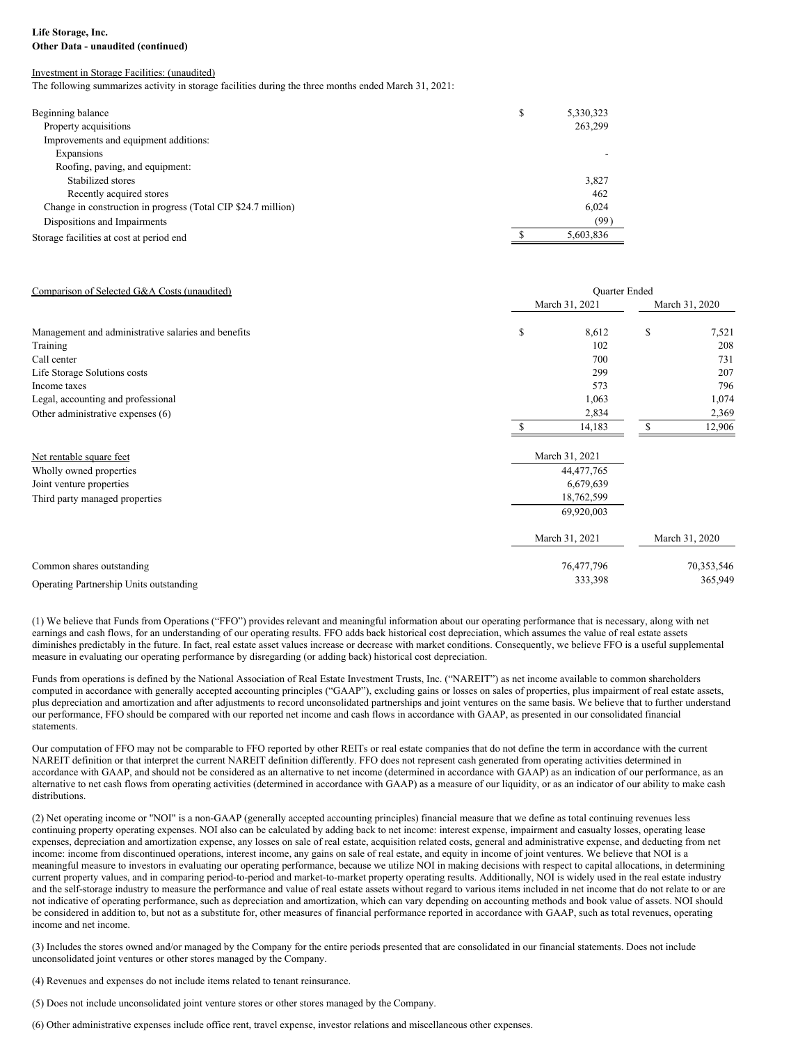#### **Life Storage, Inc. Other Data - unaudited (continued)**

#### Investment in Storage Facilities: (unaudited)

The following summarizes activity in storage facilities during the three months ended March 31, 2021:

| Beginning balance                                             | \$<br>5,330,323 |
|---------------------------------------------------------------|-----------------|
| Property acquisitions                                         | 263,299         |
| Improvements and equipment additions:                         |                 |
| Expansions                                                    |                 |
| Roofing, paving, and equipment:                               |                 |
| Stabilized stores                                             | 3.827           |
| Recently acquired stores                                      | 462             |
| Change in construction in progress (Total CIP \$24.7 million) | 6.024           |
| Dispositions and Impairments                                  | (99)            |
| Storage facilities at cost at period end                      | 5.603.836       |

| Comparison of Selected G&A Costs (unaudited)        | <b>Ouarter Ended</b> |       |                |                |
|-----------------------------------------------------|----------------------|-------|----------------|----------------|
|                                                     | March 31, 2021       |       | March 31, 2020 |                |
| Management and administrative salaries and benefits | \$                   | 8,612 | \$             | 7,521          |
| Training                                            |                      | 102   |                | 208            |
| Call center                                         |                      | 700   |                | 731            |
| Life Storage Solutions costs                        |                      | 299   |                | 207            |
| Income taxes                                        |                      | 573   |                | 796            |
| Legal, accounting and professional                  |                      | 1,063 |                | 1,074          |
| Other administrative expenses (6)                   |                      | 2,834 |                | 2,369          |
|                                                     | 14,183               |       | S              | 12,906         |
| Net rentable square feet                            | March 31, 2021       |       |                |                |
| Wholly owned properties                             | 44, 477, 765         |       |                |                |
| Joint venture properties                            | 6,679,639            |       |                |                |
| Third party managed properties                      | 18,762,599           |       |                |                |
|                                                     | 69,920,003           |       |                |                |
|                                                     | March 31, 2021       |       |                | March 31, 2020 |
| Common shares outstanding                           | 76,477,796           |       |                | 70,353,546     |
| Operating Partnership Units outstanding             | 333,398              |       |                | 365,949        |

(1) We believe that Funds from Operations ("FFO") provides relevant and meaningful information about our operating performance that is necessary, along with net earnings and cash flows, for an understanding of our operating results. FFO adds back historical cost depreciation, which assumes the value of real estate assets diminishes predictably in the future. In fact, real estate asset values increase or decrease with market conditions. Consequently, we believe FFO is a useful supplemental measure in evaluating our operating performance by disregarding (or adding back) historical cost depreciation.

Funds from operations is defined by the National Association of Real Estate Investment Trusts, Inc. ("NAREIT") as net income available to common shareholders computed in accordance with generally accepted accounting principles ("GAAP"), excluding gains or losses on sales of properties, plus impairment of real estate assets, plus depreciation and amortization and after adjustments to record unconsolidated partnerships and joint ventures on the same basis. We believe that to further understand our performance, FFO should be compared with our reported net income and cash flows in accordance with GAAP, as presented in our consolidated financial statements.

Our computation of FFO may not be comparable to FFO reported by other REITs or real estate companies that do not define the term in accordance with the current NAREIT definition or that interpret the current NAREIT definition differently. FFO does not represent cash generated from operating activities determined in accordance with GAAP, and should not be considered as an alternative to net income (determined in accordance with GAAP) as an indication of our performance, as an alternative to net cash flows from operating activities (determined in accordance with GAAP) as a measure of our liquidity, or as an indicator of our ability to make cash distributions.

(2) Net operating income or "NOI" is a non-GAAP (generally accepted accounting principles) financial measure that we define as total continuing revenues less continuing property operating expenses. NOI also can be calculated by adding back to net income: interest expense, impairment and casualty losses, operating lease expenses, depreciation and amortization expense, any losses on sale of real estate, acquisition related costs, general and administrative expense, and deducting from net income: income from discontinued operations, interest income, any gains on sale of real estate, and equity in income of joint ventures. We believe that NOI is a meaningful measure to investors in evaluating our operating performance, because we utilize NOI in making decisions with respect to capital allocations, in determining current property values, and in comparing period-to-period and market-to-market property operating results. Additionally, NOI is widely used in the real estate industry and the self-storage industry to measure the performance and value of real estate assets without regard to various items included in net income that do not relate to or are not indicative of operating performance, such as depreciation and amortization, which can vary depending on accounting methods and book value of assets. NOI should be considered in addition to, but not as a substitute for, other measures of financial performance reported in accordance with GAAP, such as total revenues, operating income and net income.

(3) Includes the stores owned and/or managed by the Company for the entire periods presented that are consolidated in our financial statements. Does not include unconsolidated joint ventures or other stores managed by the Company.

(4) Revenues and expenses do not include items related to tenant reinsurance.

(5) Does not include unconsolidated joint venture stores or other stores managed by the Company.

(6) Other administrative expenses include office rent, travel expense, investor relations and miscellaneous other expenses.